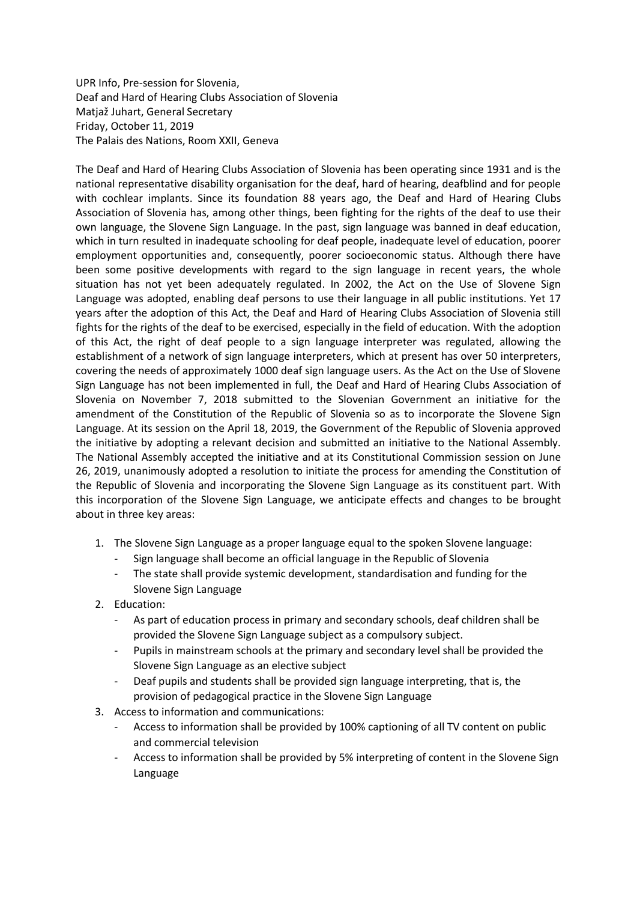UPR Info, Pre-session for Slovenia, Deaf and Hard of Hearing Clubs Association of Slovenia Matjaž Juhart, General Secretary Friday, October 11, 2019 The Palais des Nations, Room XXII, Geneva

The Deaf and Hard of Hearing Clubs Association of Slovenia has been operating since 1931 and is the national representative disability organisation for the deaf, hard of hearing, deafblind and for people with cochlear implants. Since its foundation 88 years ago, the Deaf and Hard of Hearing Clubs Association of Slovenia has, among other things, been fighting for the rights of the deaf to use their own language, the Slovene Sign Language. In the past, sign language was banned in deaf education, which in turn resulted in inadequate schooling for deaf people, inadequate level of education, poorer employment opportunities and, consequently, poorer socioeconomic status. Although there have been some positive developments with regard to the sign language in recent years, the whole situation has not yet been adequately regulated. In 2002, the Act on the Use of Slovene Sign Language was adopted, enabling deaf persons to use their language in all public institutions. Yet 17 years after the adoption of this Act, the Deaf and Hard of Hearing Clubs Association of Slovenia still fights for the rights of the deaf to be exercised, especially in the field of education. With the adoption of this Act, the right of deaf people to a sign language interpreter was regulated, allowing the establishment of a network of sign language interpreters, which at present has over 50 interpreters, covering the needs of approximately 1000 deaf sign language users. As the Act on the Use of Slovene Sign Language has not been implemented in full, the Deaf and Hard of Hearing Clubs Association of Slovenia on November 7, 2018 submitted to the Slovenian Government an initiative for the amendment of the Constitution of the Republic of Slovenia so as to incorporate the Slovene Sign Language. At its session on the April 18, 2019, the Government of the Republic of Slovenia approved the initiative by adopting a relevant decision and submitted an initiative to the National Assembly. The National Assembly accepted the initiative and at its Constitutional Commission session on June 26, 2019, unanimously adopted a resolution to initiate the process for amending the Constitution of the Republic of Slovenia and incorporating the Slovene Sign Language as its constituent part. With this incorporation of the Slovene Sign Language, we anticipate effects and changes to be brought about in three key areas:

- 1. The Slovene Sign Language as a proper language equal to the spoken Slovene language:
	- Sign language shall become an official language in the Republic of Slovenia
	- The state shall provide systemic development, standardisation and funding for the Slovene Sign Language
- 2. Education:
	- As part of education process in primary and secondary schools, deaf children shall be provided the Slovene Sign Language subject as a compulsory subject.
	- Pupils in mainstream schools at the primary and secondary level shall be provided the Slovene Sign Language as an elective subject
	- Deaf pupils and students shall be provided sign language interpreting, that is, the provision of pedagogical practice in the Slovene Sign Language
- 3. Access to information and communications:
	- Access to information shall be provided by 100% captioning of all TV content on public and commercial television
	- Access to information shall be provided by 5% interpreting of content in the Slovene Sign Language